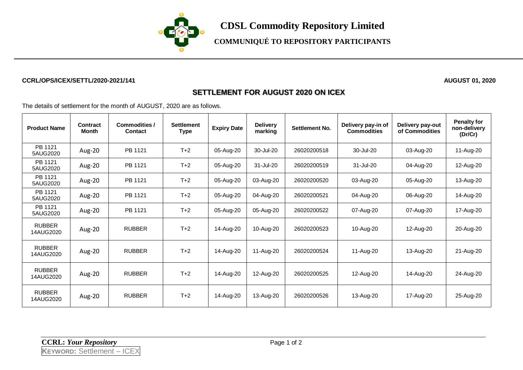

**CDSL Commodity Repository Limited**

**COMMUNIQUÉ TO REPOSITORY PARTICIPANTS**

## **CCRL/OPS/ICEX/SETTL/2020-2021/141 AUGUST 01, 2020**

## **SETTLEMENT FOR AUGUST 2020 ON ICEX**

The details of settlement for the month of AUGUST, 2020 are as follows.

| <b>Product Name</b>        | Contract<br><b>Month</b> | Commodities /<br><b>Contact</b> | <b>Settlement</b><br>Type | <b>Expiry Date</b> | <b>Delivery</b><br>marking | <b>Settlement No.</b> | Delivery pay-in of<br><b>Commodities</b> | Delivery pay-out<br>of Commodities | <b>Penalty for</b><br>non-delivery<br>(Dr/Cr) |
|----------------------------|--------------------------|---------------------------------|---------------------------|--------------------|----------------------------|-----------------------|------------------------------------------|------------------------------------|-----------------------------------------------|
| PB 1121<br>5AUG2020        | Aug-20                   | PB 1121                         | $T+2$                     | 05-Aug-20          | 30-Jul-20                  | 26020200518           | 30-Jul-20                                | 03-Aug-20                          | 11-Aug-20                                     |
| PB 1121<br>5AUG2020        | Aug-20                   | PB 1121                         | $T+2$                     | 05-Aug-20          | 31-Jul-20                  | 26020200519           | 31-Jul-20                                | 04-Aug-20                          | 12-Aug-20                                     |
| PB 1121<br>5AUG2020        | Aug-20                   | PB 1121                         | $T+2$                     | 05-Aug-20          | 03-Aug-20                  | 26020200520           | 03-Aug-20                                | 05-Aug-20                          | 13-Aug-20                                     |
| PB 1121<br>5AUG2020        | Aug-20                   | PB 1121                         | $T+2$                     | 05-Aug-20          | 04-Aug-20                  | 26020200521           | 04-Aug-20                                | 06-Aug-20                          | 14-Aug-20                                     |
| PB 1121<br>5AUG2020        | Aug-20                   | PB 1121                         | $T+2$                     | 05-Aug-20          | 05-Aug-20                  | 26020200522           | 07-Aug-20                                | 07-Aug-20                          | 17-Aug-20                                     |
| <b>RUBBER</b><br>14AUG2020 | Aug-20                   | <b>RUBBER</b>                   | $T+2$                     | 14-Aug-20          | 10-Aug-20                  | 26020200523           | 10-Aug-20                                | 12-Aug-20                          | 20-Aug-20                                     |
| <b>RUBBER</b><br>14AUG2020 | Aug-20                   | <b>RUBBER</b>                   | $T+2$                     | 14-Aug-20          | 11-Aug-20                  | 26020200524           | 11-Aug-20                                | 13-Aug-20                          | 21-Aug-20                                     |
| <b>RUBBER</b><br>14AUG2020 | Aug-20                   | <b>RUBBER</b>                   | $T+2$                     | 14-Aug-20          | 12-Aug-20                  | 26020200525           | 12-Aug-20                                | 14-Aug-20                          | 24-Aug-20                                     |
| <b>RUBBER</b><br>14AUG2020 | Aug-20                   | <b>RUBBER</b>                   | $T+2$                     | 14-Aug-20          | 13-Aug-20                  | 26020200526           | 13-Aug-20                                | 17-Aug-20                          | 25-Aug-20                                     |